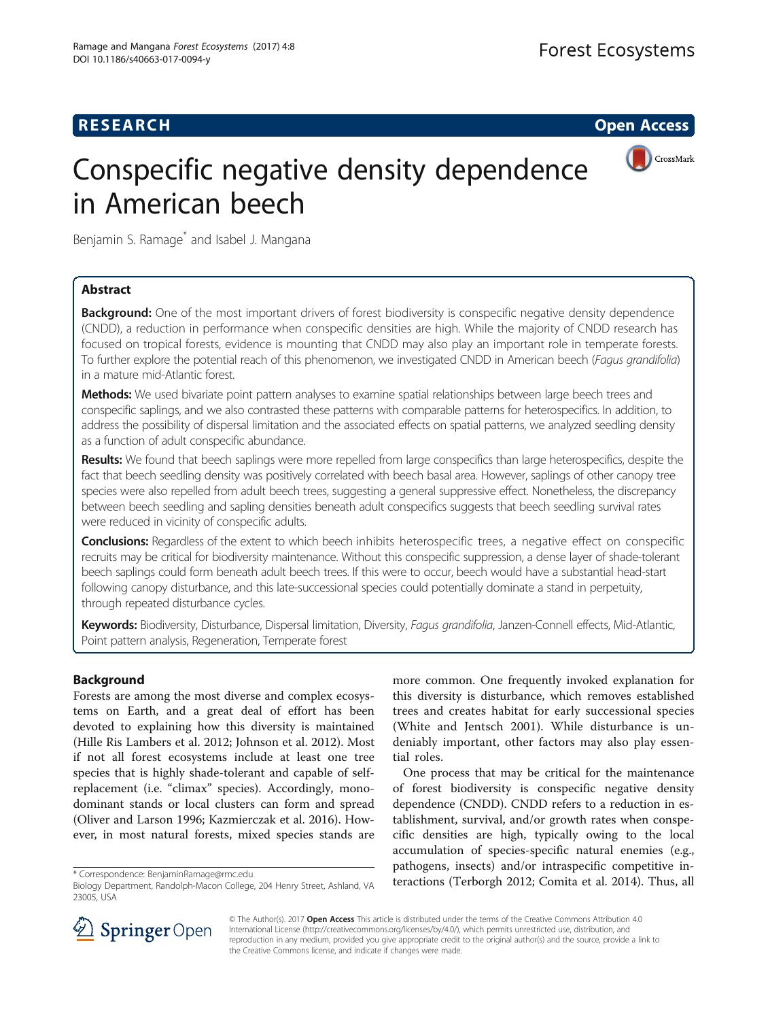

# Conspecific negative density dependence in American beech

Benjamin S. Ramage<sup>\*</sup> and Isabel J. Mangana

# Abstract

**Background:** One of the most important drivers of forest biodiversity is conspecific negative density dependence (CNDD), a reduction in performance when conspecific densities are high. While the majority of CNDD research has focused on tropical forests, evidence is mounting that CNDD may also play an important role in temperate forests. To further explore the potential reach of this phenomenon, we investigated CNDD in American beech (Fagus grandifolia) in a mature mid-Atlantic forest.

Methods: We used bivariate point pattern analyses to examine spatial relationships between large beech trees and conspecific saplings, and we also contrasted these patterns with comparable patterns for heterospecifics. In addition, to address the possibility of dispersal limitation and the associated effects on spatial patterns, we analyzed seedling density as a function of adult conspecific abundance.

Results: We found that beech saplings were more repelled from large conspecifics than large heterospecifics, despite the fact that beech seedling density was positively correlated with beech basal area. However, saplings of other canopy tree species were also repelled from adult beech trees, suggesting a general suppressive effect. Nonetheless, the discrepancy between beech seedling and sapling densities beneath adult conspecifics suggests that beech seedling survival rates were reduced in vicinity of conspecific adults.

Conclusions: Regardless of the extent to which beech inhibits heterospecific trees, a negative effect on conspecific recruits may be critical for biodiversity maintenance. Without this conspecific suppression, a dense layer of shade-tolerant beech saplings could form beneath adult beech trees. If this were to occur, beech would have a substantial head-start following canopy disturbance, and this late-successional species could potentially dominate a stand in perpetuity, through repeated disturbance cycles.

Keywords: Biodiversity, Disturbance, Dispersal limitation, Diversity, Fagus grandifolia, Janzen-Connell effects, Mid-Atlantic, Point pattern analysis, Regeneration, Temperate forest

# Background

Forests are among the most diverse and complex ecosystems on Earth, and a great deal of effort has been devoted to explaining how this diversity is maintained (Hille Ris Lambers et al. [2012;](#page-7-0) Johnson et al. [2012](#page-7-0)). Most if not all forest ecosystems include at least one tree species that is highly shade-tolerant and capable of selfreplacement (i.e. "climax" species). Accordingly, monodominant stands or local clusters can form and spread (Oliver and Larson [1996;](#page-7-0) Kazmierczak et al. [2016](#page-7-0)). However, in most natural forests, mixed species stands are

more common. One frequently invoked explanation for this diversity is disturbance, which removes established trees and creates habitat for early successional species (White and Jentsch [2001](#page-7-0)). While disturbance is undeniably important, other factors may also play essential roles.

One process that may be critical for the maintenance of forest biodiversity is conspecific negative density dependence (CNDD). CNDD refers to a reduction in establishment, survival, and/or growth rates when conspecific densities are high, typically owing to the local accumulation of species-specific natural enemies (e.g., pathogens, insects) and/or intraspecific competitive interactions (Terborgh [2012;](#page-7-0) Comita et al. [2014](#page-7-0)). Thus, all \* Correspondence: [BenjaminRamage@rmc.edu](mailto:BenjaminRamage@rmc.edu)



© The Author(s). 2017 **Open Access** This article is distributed under the terms of the Creative Commons Attribution 4.0 International License ([http://creativecommons.org/licenses/by/4.0/\)](http://creativecommons.org/licenses/by/4.0/), which permits unrestricted use, distribution, and reproduction in any medium, provided you give appropriate credit to the original author(s) and the source, provide a link to the Creative Commons license, and indicate if changes were made.

Biology Department, Randolph-Macon College, 204 Henry Street, Ashland, VA 23005, USA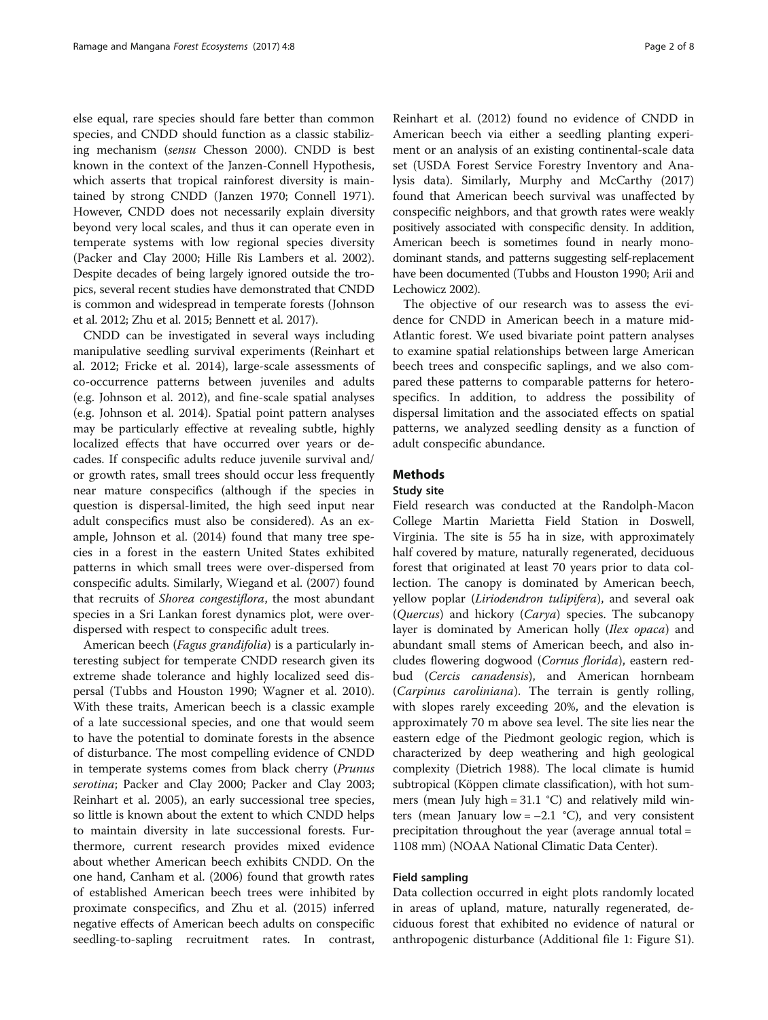else equal, rare species should fare better than common species, and CNDD should function as a classic stabilizing mechanism (sensu Chesson [2000](#page-7-0)). CNDD is best known in the context of the Janzen-Connell Hypothesis, which asserts that tropical rainforest diversity is maintained by strong CNDD (Janzen [1970](#page-7-0); Connell [1971](#page-7-0)). However, CNDD does not necessarily explain diversity beyond very local scales, and thus it can operate even in temperate systems with low regional species diversity (Packer and Clay [2000](#page-7-0); Hille Ris Lambers et al. [2002](#page-7-0)). Despite decades of being largely ignored outside the tropics, several recent studies have demonstrated that CNDD is common and widespread in temperate forests (Johnson et al. [2012](#page-7-0); Zhu et al. [2015](#page-7-0); Bennett et al. [2017\)](#page-6-0).

CNDD can be investigated in several ways including manipulative seedling survival experiments (Reinhart et al. [2012;](#page-7-0) Fricke et al. [2014\)](#page-7-0), large-scale assessments of co-occurrence patterns between juveniles and adults (e.g. Johnson et al. [2012\)](#page-7-0), and fine-scale spatial analyses (e.g. Johnson et al. [2014](#page-7-0)). Spatial point pattern analyses may be particularly effective at revealing subtle, highly localized effects that have occurred over years or decades. If conspecific adults reduce juvenile survival and/ or growth rates, small trees should occur less frequently near mature conspecifics (although if the species in question is dispersal-limited, the high seed input near adult conspecifics must also be considered). As an example, Johnson et al. ([2014](#page-7-0)) found that many tree species in a forest in the eastern United States exhibited patterns in which small trees were over-dispersed from conspecific adults. Similarly, Wiegand et al. ([2007\)](#page-7-0) found that recruits of Shorea congestiflora, the most abundant species in a Sri Lankan forest dynamics plot, were overdispersed with respect to conspecific adult trees.

American beech (*Fagus grandifolia*) is a particularly interesting subject for temperate CNDD research given its extreme shade tolerance and highly localized seed dispersal (Tubbs and Houston [1990](#page-7-0); Wagner et al. [2010](#page-7-0)). With these traits, American beech is a classic example of a late successional species, and one that would seem to have the potential to dominate forests in the absence of disturbance. The most compelling evidence of CNDD in temperate systems comes from black cherry (Prunus serotina; Packer and Clay [2000;](#page-7-0) Packer and Clay [2003](#page-7-0); Reinhart et al. [2005\)](#page-7-0), an early successional tree species, so little is known about the extent to which CNDD helps to maintain diversity in late successional forests. Furthermore, current research provides mixed evidence about whether American beech exhibits CNDD. On the one hand, Canham et al. ([2006](#page-7-0)) found that growth rates of established American beech trees were inhibited by proximate conspecifics, and Zhu et al. ([2015](#page-7-0)) inferred negative effects of American beech adults on conspecific seedling-to-sapling recruitment rates. In contrast,

Reinhart et al. ([2012](#page-7-0)) found no evidence of CNDD in American beech via either a seedling planting experiment or an analysis of an existing continental-scale data set (USDA Forest Service Forestry Inventory and Analysis data). Similarly, Murphy and McCarthy ([2017](#page-7-0)) found that American beech survival was unaffected by conspecific neighbors, and that growth rates were weakly positively associated with conspecific density. In addition, American beech is sometimes found in nearly monodominant stands, and patterns suggesting self-replacement have been documented (Tubbs and Houston [1990;](#page-7-0) Arii and Lechowicz [2002](#page-6-0)).

The objective of our research was to assess the evidence for CNDD in American beech in a mature mid-Atlantic forest. We used bivariate point pattern analyses to examine spatial relationships between large American beech trees and conspecific saplings, and we also compared these patterns to comparable patterns for heterospecifics. In addition, to address the possibility of dispersal limitation and the associated effects on spatial patterns, we analyzed seedling density as a function of adult conspecific abundance.

# Methods

# Study site

Field research was conducted at the Randolph-Macon College Martin Marietta Field Station in Doswell, Virginia. The site is 55 ha in size, with approximately half covered by mature, naturally regenerated, deciduous forest that originated at least 70 years prior to data collection. The canopy is dominated by American beech, yellow poplar (Liriodendron tulipifera), and several oak (Quercus) and hickory (Carya) species. The subcanopy layer is dominated by American holly (*Ilex opaca*) and abundant small stems of American beech, and also includes flowering dogwood (Cornus florida), eastern redbud (Cercis canadensis), and American hornbeam (Carpinus caroliniana). The terrain is gently rolling, with slopes rarely exceeding 20%, and the elevation is approximately 70 m above sea level. The site lies near the eastern edge of the Piedmont geologic region, which is characterized by deep weathering and high geological complexity (Dietrich [1988](#page-7-0)). The local climate is humid subtropical (Köppen climate classification), with hot summers (mean July high =  $31.1 \text{ }^{\circ}C$ ) and relatively mild winters (mean January  $low = -2.1$  °C), and very consistent precipitation throughout the year (average annual total = 1108 mm) (NOAA National Climatic Data Center).

## Field sampling

Data collection occurred in eight plots randomly located in areas of upland, mature, naturally regenerated, deciduous forest that exhibited no evidence of natural or anthropogenic disturbance (Additional file [1:](#page-6-0) Figure S1).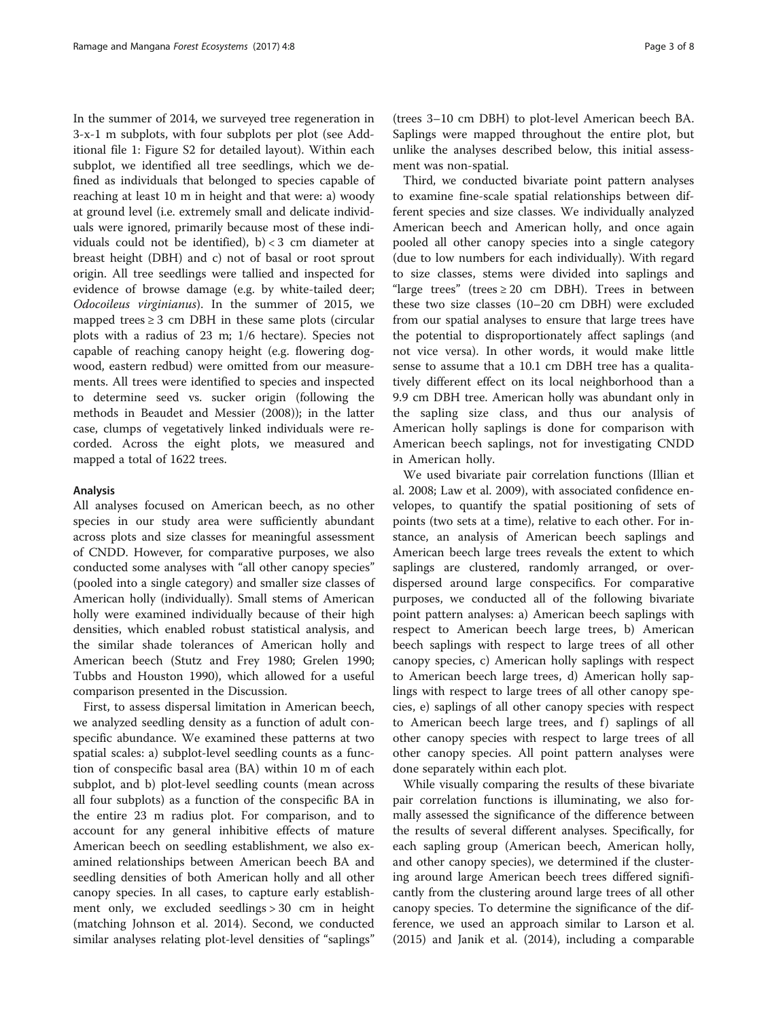In the summer of 2014, we surveyed tree regeneration in 3-x-1 m subplots, with four subplots per plot (see Additional file [1:](#page-6-0) Figure S2 for detailed layout). Within each subplot, we identified all tree seedlings, which we defined as individuals that belonged to species capable of reaching at least 10 m in height and that were: a) woody at ground level (i.e. extremely small and delicate individuals were ignored, primarily because most of these individuals could not be identified),  $b$  < 3 cm diameter at breast height (DBH) and c) not of basal or root sprout origin. All tree seedlings were tallied and inspected for evidence of browse damage (e.g. by white-tailed deer; Odocoileus virginianus). In the summer of 2015, we mapped trees  $\geq$  3 cm DBH in these same plots (circular plots with a radius of 23 m; 1/6 hectare). Species not capable of reaching canopy height (e.g. flowering dogwood, eastern redbud) were omitted from our measurements. All trees were identified to species and inspected to determine seed vs. sucker origin (following the methods in Beaudet and Messier [\(2008\)](#page-6-0)); in the latter case, clumps of vegetatively linked individuals were recorded. Across the eight plots, we measured and mapped a total of 1622 trees.

# Analysis

All analyses focused on American beech, as no other species in our study area were sufficiently abundant across plots and size classes for meaningful assessment of CNDD. However, for comparative purposes, we also conducted some analyses with "all other canopy species" (pooled into a single category) and smaller size classes of American holly (individually). Small stems of American holly were examined individually because of their high densities, which enabled robust statistical analysis, and the similar shade tolerances of American holly and American beech (Stutz and Frey [1980;](#page-7-0) Grelen [1990](#page-7-0); Tubbs and Houston [1990](#page-7-0)), which allowed for a useful comparison presented in the Discussion.

First, to assess dispersal limitation in American beech, we analyzed seedling density as a function of adult conspecific abundance. We examined these patterns at two spatial scales: a) subplot-level seedling counts as a function of conspecific basal area (BA) within 10 m of each subplot, and b) plot-level seedling counts (mean across all four subplots) as a function of the conspecific BA in the entire 23 m radius plot. For comparison, and to account for any general inhibitive effects of mature American beech on seedling establishment, we also examined relationships between American beech BA and seedling densities of both American holly and all other canopy species. In all cases, to capture early establishment only, we excluded seedlings > 30 cm in height (matching Johnson et al. [2014\)](#page-7-0). Second, we conducted similar analyses relating plot-level densities of "saplings" (trees 3–10 cm DBH) to plot-level American beech BA. Saplings were mapped throughout the entire plot, but unlike the analyses described below, this initial assessment was non-spatial.

Third, we conducted bivariate point pattern analyses to examine fine-scale spatial relationships between different species and size classes. We individually analyzed American beech and American holly, and once again pooled all other canopy species into a single category (due to low numbers for each individually). With regard to size classes, stems were divided into saplings and "large trees" (trees  $\geq 20$  cm DBH). Trees in between these two size classes (10–20 cm DBH) were excluded from our spatial analyses to ensure that large trees have the potential to disproportionately affect saplings (and not vice versa). In other words, it would make little sense to assume that a 10.1 cm DBH tree has a qualitatively different effect on its local neighborhood than a 9.9 cm DBH tree. American holly was abundant only in the sapling size class, and thus our analysis of American holly saplings is done for comparison with American beech saplings, not for investigating CNDD in American holly.

We used bivariate pair correlation functions (Illian et al. [2008;](#page-7-0) Law et al. [2009](#page-7-0)), with associated confidence envelopes, to quantify the spatial positioning of sets of points (two sets at a time), relative to each other. For instance, an analysis of American beech saplings and American beech large trees reveals the extent to which saplings are clustered, randomly arranged, or overdispersed around large conspecifics. For comparative purposes, we conducted all of the following bivariate point pattern analyses: a) American beech saplings with respect to American beech large trees, b) American beech saplings with respect to large trees of all other canopy species, c) American holly saplings with respect to American beech large trees, d) American holly saplings with respect to large trees of all other canopy species, e) saplings of all other canopy species with respect to American beech large trees, and f) saplings of all other canopy species with respect to large trees of all other canopy species. All point pattern analyses were done separately within each plot.

While visually comparing the results of these bivariate pair correlation functions is illuminating, we also formally assessed the significance of the difference between the results of several different analyses. Specifically, for each sapling group (American beech, American holly, and other canopy species), we determined if the clustering around large American beech trees differed significantly from the clustering around large trees of all other canopy species. To determine the significance of the difference, we used an approach similar to Larson et al. ([2015\)](#page-7-0) and Janik et al. [\(2014](#page-7-0)), including a comparable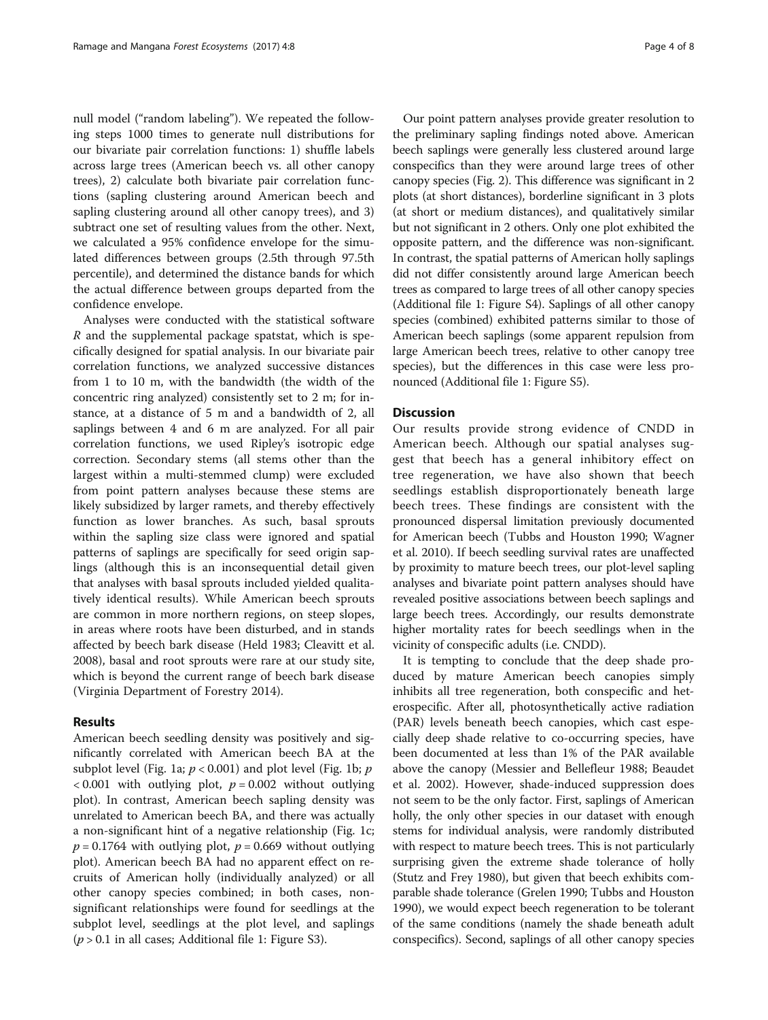null model ("random labeling"). We repeated the following steps 1000 times to generate null distributions for our bivariate pair correlation functions: 1) shuffle labels across large trees (American beech vs. all other canopy trees), 2) calculate both bivariate pair correlation functions (sapling clustering around American beech and sapling clustering around all other canopy trees), and 3) subtract one set of resulting values from the other. Next, we calculated a 95% confidence envelope for the simulated differences between groups (2.5th through 97.5th percentile), and determined the distance bands for which the actual difference between groups departed from the confidence envelope.

Analyses were conducted with the statistical software  $R$  and the supplemental package spatstat, which is specifically designed for spatial analysis. In our bivariate pair correlation functions, we analyzed successive distances from 1 to 10 m, with the bandwidth (the width of the concentric ring analyzed) consistently set to 2 m; for instance, at a distance of 5 m and a bandwidth of 2, all saplings between 4 and 6 m are analyzed. For all pair correlation functions, we used Ripley's isotropic edge correction. Secondary stems (all stems other than the largest within a multi-stemmed clump) were excluded from point pattern analyses because these stems are likely subsidized by larger ramets, and thereby effectively function as lower branches. As such, basal sprouts within the sapling size class were ignored and spatial patterns of saplings are specifically for seed origin saplings (although this is an inconsequential detail given that analyses with basal sprouts included yielded qualitatively identical results). While American beech sprouts are common in more northern regions, on steep slopes, in areas where roots have been disturbed, and in stands affected by beech bark disease (Held [1983;](#page-7-0) Cleavitt et al. [2008](#page-7-0)), basal and root sprouts were rare at our study site, which is beyond the current range of beech bark disease (Virginia Department of Forestry [2014\)](#page-7-0).

## Results

American beech seedling density was positively and significantly correlated with American beech BA at the subplot level (Fig. [1a;](#page-4-0)  $p < 0.001$ ) and plot level (Fig. [1b](#page-4-0);  $p$  $< 0.001$  with outlying plot,  $p = 0.002$  without outlying plot). In contrast, American beech sapling density was unrelated to American beech BA, and there was actually a non-significant hint of a negative relationship (Fig. [1c](#page-4-0);  $p = 0.1764$  with outlying plot,  $p = 0.669$  without outlying plot). American beech BA had no apparent effect on recruits of American holly (individually analyzed) or all other canopy species combined; in both cases, nonsignificant relationships were found for seedlings at the subplot level, seedlings at the plot level, and saplings  $(p > 0.1$  in all cases; Additional file [1:](#page-6-0) Figure S3).

Our point pattern analyses provide greater resolution to the preliminary sapling findings noted above. American beech saplings were generally less clustered around large conspecifics than they were around large trees of other canopy species (Fig. [2](#page-4-0)). This difference was significant in 2 plots (at short distances), borderline significant in 3 plots (at short or medium distances), and qualitatively similar but not significant in 2 others. Only one plot exhibited the opposite pattern, and the difference was non-significant. In contrast, the spatial patterns of American holly saplings did not differ consistently around large American beech trees as compared to large trees of all other canopy species (Additional file [1](#page-6-0): Figure S4). Saplings of all other canopy species (combined) exhibited patterns similar to those of American beech saplings (some apparent repulsion from large American beech trees, relative to other canopy tree species), but the differences in this case were less pronounced (Additional file [1](#page-6-0): Figure S5).

# **Discussion**

Our results provide strong evidence of CNDD in American beech. Although our spatial analyses suggest that beech has a general inhibitory effect on tree regeneration, we have also shown that beech seedlings establish disproportionately beneath large beech trees. These findings are consistent with the pronounced dispersal limitation previously documented for American beech (Tubbs and Houston [1990](#page-7-0); Wagner et al. [2010](#page-7-0)). If beech seedling survival rates are unaffected by proximity to mature beech trees, our plot-level sapling analyses and bivariate point pattern analyses should have revealed positive associations between beech saplings and large beech trees. Accordingly, our results demonstrate higher mortality rates for beech seedlings when in the vicinity of conspecific adults (i.e. CNDD).

It is tempting to conclude that the deep shade produced by mature American beech canopies simply inhibits all tree regeneration, both conspecific and heterospecific. After all, photosynthetically active radiation (PAR) levels beneath beech canopies, which cast especially deep shade relative to co-occurring species, have been documented at less than 1% of the PAR available above the canopy (Messier and Bellefleur [1988](#page-7-0); Beaudet et al. [2002](#page-6-0)). However, shade-induced suppression does not seem to be the only factor. First, saplings of American holly, the only other species in our dataset with enough stems for individual analysis, were randomly distributed with respect to mature beech trees. This is not particularly surprising given the extreme shade tolerance of holly (Stutz and Frey [1980](#page-7-0)), but given that beech exhibits comparable shade tolerance (Grelen [1990](#page-7-0); Tubbs and Houston [1990](#page-7-0)), we would expect beech regeneration to be tolerant of the same conditions (namely the shade beneath adult conspecifics). Second, saplings of all other canopy species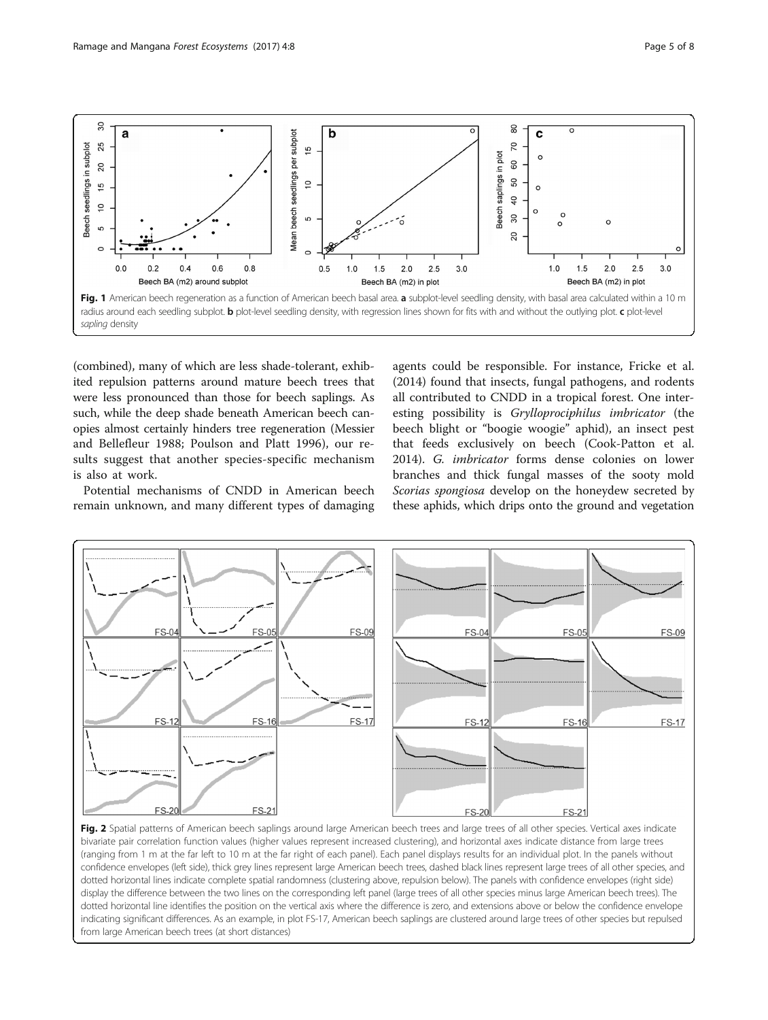<span id="page-4-0"></span>

(combined), many of which are less shade-tolerant, exhibited repulsion patterns around mature beech trees that were less pronounced than those for beech saplings. As such, while the deep shade beneath American beech canopies almost certainly hinders tree regeneration (Messier and Bellefleur [1988;](#page-7-0) Poulson and Platt [1996\)](#page-7-0), our results suggest that another species-specific mechanism is also at work.

Potential mechanisms of CNDD in American beech remain unknown, and many different types of damaging

agents could be responsible. For instance, Fricke et al. ([2014\)](#page-7-0) found that insects, fungal pathogens, and rodents all contributed to CNDD in a tropical forest. One interesting possibility is Grylloprociphilus imbricator (the beech blight or "boogie woogie" aphid), an insect pest that feeds exclusively on beech (Cook-Patton et al. [2014](#page-7-0)). G. imbricator forms dense colonies on lower branches and thick fungal masses of the sooty mold Scorias spongiosa develop on the honeydew secreted by these aphids, which drips onto the ground and vegetation



Fig. 2 Spatial patterns of American beech saplings around large American beech trees and large trees of all other species. Vertical axes indicate bivariate pair correlation function values (higher values represent increased clustering), and horizontal axes indicate distance from large trees (ranging from 1 m at the far left to 10 m at the far right of each panel). Each panel displays results for an individual plot. In the panels without confidence envelopes (left side), thick grey lines represent large American beech trees, dashed black lines represent large trees of all other species, and dotted horizontal lines indicate complete spatial randomness (clustering above, repulsion below). The panels with confidence envelopes (right side) display the difference between the two lines on the corresponding left panel (large trees of all other species minus large American beech trees). The dotted horizontal line identifies the position on the vertical axis where the difference is zero, and extensions above or below the confidence envelope indicating significant differences. As an example, in plot FS-17, American beech saplings are clustered around large trees of other species but repulsed from large American beech trees (at short distances)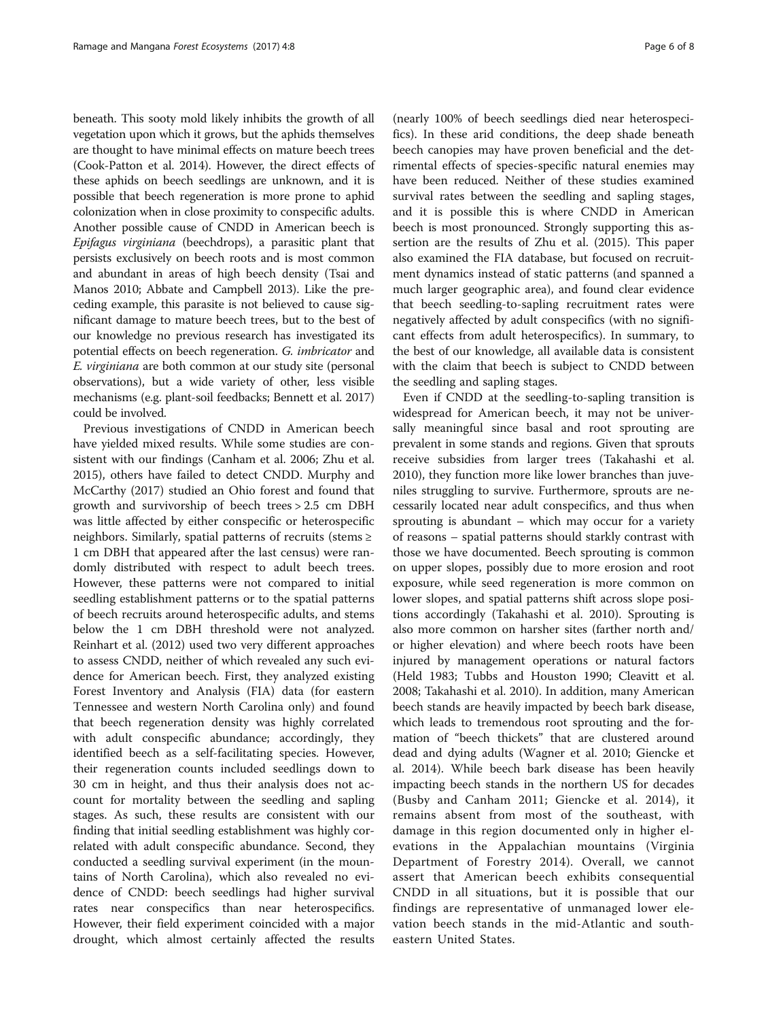beneath. This sooty mold likely inhibits the growth of all vegetation upon which it grows, but the aphids themselves are thought to have minimal effects on mature beech trees (Cook-Patton et al. [2014\)](#page-7-0). However, the direct effects of these aphids on beech seedlings are unknown, and it is possible that beech regeneration is more prone to aphid colonization when in close proximity to conspecific adults. Another possible cause of CNDD in American beech is Epifagus virginiana (beechdrops), a parasitic plant that persists exclusively on beech roots and is most common and abundant in areas of high beech density (Tsai and Manos [2010](#page-7-0); Abbate and Campbell [2013\)](#page-6-0). Like the preceding example, this parasite is not believed to cause significant damage to mature beech trees, but to the best of our knowledge no previous research has investigated its potential effects on beech regeneration. G. imbricator and E. virginiana are both common at our study site (personal observations), but a wide variety of other, less visible mechanisms (e.g. plant-soil feedbacks; Bennett et al. [2017](#page-6-0)) could be involved.

Previous investigations of CNDD in American beech have yielded mixed results. While some studies are consistent with our findings (Canham et al. [2006;](#page-7-0) Zhu et al. [2015](#page-7-0)), others have failed to detect CNDD. Murphy and McCarthy ([2017](#page-7-0)) studied an Ohio forest and found that growth and survivorship of beech trees > 2.5 cm DBH was little affected by either conspecific or heterospecific neighbors. Similarly, spatial patterns of recruits (stems ≥ 1 cm DBH that appeared after the last census) were randomly distributed with respect to adult beech trees. However, these patterns were not compared to initial seedling establishment patterns or to the spatial patterns of beech recruits around heterospecific adults, and stems below the 1 cm DBH threshold were not analyzed. Reinhart et al. ([2012](#page-7-0)) used two very different approaches to assess CNDD, neither of which revealed any such evidence for American beech. First, they analyzed existing Forest Inventory and Analysis (FIA) data (for eastern Tennessee and western North Carolina only) and found that beech regeneration density was highly correlated with adult conspecific abundance; accordingly, they identified beech as a self-facilitating species. However, their regeneration counts included seedlings down to 30 cm in height, and thus their analysis does not account for mortality between the seedling and sapling stages. As such, these results are consistent with our finding that initial seedling establishment was highly correlated with adult conspecific abundance. Second, they conducted a seedling survival experiment (in the mountains of North Carolina), which also revealed no evidence of CNDD: beech seedlings had higher survival rates near conspecifics than near heterospecifics. However, their field experiment coincided with a major drought, which almost certainly affected the results

(nearly 100% of beech seedlings died near heterospecifics). In these arid conditions, the deep shade beneath beech canopies may have proven beneficial and the detrimental effects of species-specific natural enemies may have been reduced. Neither of these studies examined survival rates between the seedling and sapling stages, and it is possible this is where CNDD in American beech is most pronounced. Strongly supporting this assertion are the results of Zhu et al. [\(2015\)](#page-7-0). This paper also examined the FIA database, but focused on recruitment dynamics instead of static patterns (and spanned a much larger geographic area), and found clear evidence that beech seedling-to-sapling recruitment rates were negatively affected by adult conspecifics (with no significant effects from adult heterospecifics). In summary, to the best of our knowledge, all available data is consistent with the claim that beech is subject to CNDD between the seedling and sapling stages.

Even if CNDD at the seedling-to-sapling transition is widespread for American beech, it may not be universally meaningful since basal and root sprouting are prevalent in some stands and regions. Given that sprouts receive subsidies from larger trees (Takahashi et al. [2010](#page-7-0)), they function more like lower branches than juveniles struggling to survive. Furthermore, sprouts are necessarily located near adult conspecifics, and thus when sprouting is abundant – which may occur for a variety of reasons – spatial patterns should starkly contrast with those we have documented. Beech sprouting is common on upper slopes, possibly due to more erosion and root exposure, while seed regeneration is more common on lower slopes, and spatial patterns shift across slope positions accordingly (Takahashi et al. [2010\)](#page-7-0). Sprouting is also more common on harsher sites (farther north and/ or higher elevation) and where beech roots have been injured by management operations or natural factors (Held [1983;](#page-7-0) Tubbs and Houston [1990](#page-7-0); Cleavitt et al. [2008](#page-7-0); Takahashi et al. [2010\)](#page-7-0). In addition, many American beech stands are heavily impacted by beech bark disease, which leads to tremendous root sprouting and the formation of "beech thickets" that are clustered around dead and dying adults (Wagner et al. [2010](#page-7-0); Giencke et al. [2014\)](#page-7-0). While beech bark disease has been heavily impacting beech stands in the northern US for decades (Busby and Canham [2011;](#page-6-0) Giencke et al. [2014](#page-7-0)), it remains absent from most of the southeast, with damage in this region documented only in higher elevations in the Appalachian mountains (Virginia Department of Forestry [2014](#page-7-0)). Overall, we cannot assert that American beech exhibits consequential CNDD in all situations, but it is possible that our findings are representative of unmanaged lower elevation beech stands in the mid-Atlantic and southeastern United States.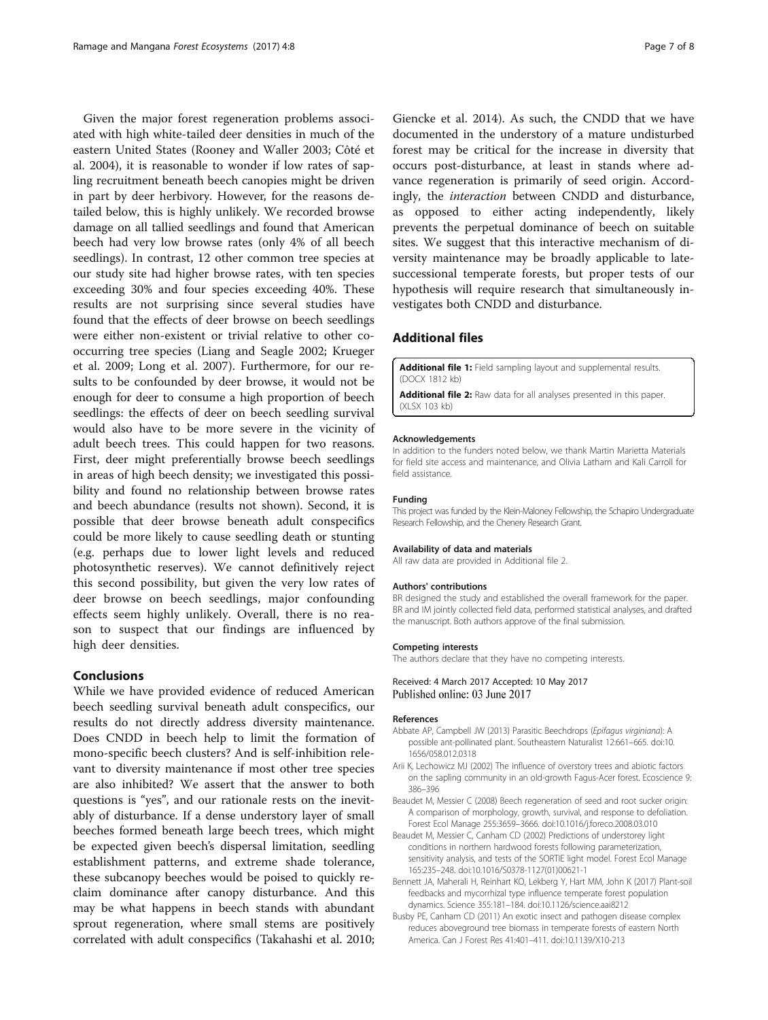<span id="page-6-0"></span>Given the major forest regeneration problems associated with high white-tailed deer densities in much of the eastern United States (Rooney and Waller [2003;](#page-7-0) Côté et al. [2004](#page-7-0)), it is reasonable to wonder if low rates of sapling recruitment beneath beech canopies might be driven in part by deer herbivory. However, for the reasons detailed below, this is highly unlikely. We recorded browse damage on all tallied seedlings and found that American beech had very low browse rates (only 4% of all beech seedlings). In contrast, 12 other common tree species at our study site had higher browse rates, with ten species exceeding 30% and four species exceeding 40%. These results are not surprising since several studies have found that the effects of deer browse on beech seedlings were either non-existent or trivial relative to other cooccurring tree species (Liang and Seagle [2002](#page-7-0); Krueger et al. [2009](#page-7-0); Long et al. [2007](#page-7-0)). Furthermore, for our results to be confounded by deer browse, it would not be enough for deer to consume a high proportion of beech seedlings: the effects of deer on beech seedling survival would also have to be more severe in the vicinity of adult beech trees. This could happen for two reasons. First, deer might preferentially browse beech seedlings in areas of high beech density; we investigated this possibility and found no relationship between browse rates and beech abundance (results not shown). Second, it is possible that deer browse beneath adult conspecifics could be more likely to cause seedling death or stunting (e.g. perhaps due to lower light levels and reduced photosynthetic reserves). We cannot definitively reject this second possibility, but given the very low rates of deer browse on beech seedlings, major confounding effects seem highly unlikely. Overall, there is no reason to suspect that our findings are influenced by high deer densities.

## Conclusions

While we have provided evidence of reduced American beech seedling survival beneath adult conspecifics, our results do not directly address diversity maintenance. Does CNDD in beech help to limit the formation of mono-specific beech clusters? And is self-inhibition relevant to diversity maintenance if most other tree species are also inhibited? We assert that the answer to both questions is "yes", and our rationale rests on the inevitably of disturbance. If a dense understory layer of small beeches formed beneath large beech trees, which might be expected given beech's dispersal limitation, seedling establishment patterns, and extreme shade tolerance, these subcanopy beeches would be poised to quickly reclaim dominance after canopy disturbance. And this may be what happens in beech stands with abundant sprout regeneration, where small stems are positively correlated with adult conspecifics (Takahashi et al. [2010](#page-7-0);

Giencke et al. [2014](#page-7-0)). As such, the CNDD that we have documented in the understory of a mature undisturbed forest may be critical for the increase in diversity that occurs post-disturbance, at least in stands where advance regeneration is primarily of seed origin. Accordingly, the interaction between CNDD and disturbance, as opposed to either acting independently, likely prevents the perpetual dominance of beech on suitable sites. We suggest that this interactive mechanism of diversity maintenance may be broadly applicable to latesuccessional temperate forests, but proper tests of our hypothesis will require research that simultaneously investigates both CNDD and disturbance.

# Additional files

[Additional file 1:](dx.doi.org/10.1186/s40663-017-0094-y) Field sampling layout and supplemental results. (DOCX 1812 kb)

[Additional file 2:](dx.doi.org/10.1186/s40663-017-0094-y) Raw data for all analyses presented in this paper. (XLSX 103 kb)

## Acknowledgements

In addition to the funders noted below, we thank Martin Marietta Materials for field site access and maintenance, and Olivia Latham and Kali Carroll for field assistance.

## Funding

This project was funded by the Klein-Maloney Fellowship, the Schapiro Undergraduate Research Fellowship, and the Chenery Research Grant.

#### Availability of data and materials

All raw data are provided in Additional file 2.

#### Authors' contributions

BR designed the study and established the overall framework for the paper. BR and IM jointly collected field data, performed statistical analyses, and drafted the manuscript. Both authors approve of the final submission.

#### Competing interests

The authors declare that they have no competing interests.

## Received: 4 March 2017 Accepted: 10 May 2017 Published online: 03 June 2017

#### References

- Abbate AP, Campbell JW (2013) Parasitic Beechdrops (Epifagus virginiana): A possible ant-pollinated plant. Southeastern Naturalist 12:661–665. doi[:10.](http://dx.doi.org/10.1656/058.012.0318) [1656/058.012.0318](http://dx.doi.org/10.1656/058.012.0318)
- Arii K, Lechowicz MJ (2002) The influence of overstory trees and abiotic factors on the sapling community in an old-growth Fagus-Acer forest. Ecoscience 9: 386–396
- Beaudet M, Messier C (2008) Beech regeneration of seed and root sucker origin: A comparison of morphology, growth, survival, and response to defoliation. Forest Ecol Manage 255:3659–3666. doi:[10.1016/j.foreco.2008.03.010](http://dx.doi.org/10.1016/j.foreco.2008.03.010)
- Beaudet M, Messier C, Canham CD (2002) Predictions of understorey light conditions in northern hardwood forests following parameterization, sensitivity analysis, and tests of the SORTIE light model. Forest Ecol Manage 165:235–248. doi:[10.1016/S0378-1127\(01\)00621-1](http://dx.doi.org/10.1016/S0378-1127(01)00621-1)
- Bennett JA, Maherali H, Reinhart KO, Lekberg Y, Hart MM, John K (2017) Plant-soil feedbacks and mycorrhizal type influence temperate forest population dynamics. Science 355:181–184. doi:[10.1126/science.aai8212](http://dx.doi.org/10.1126/science.aai8212)
- Busby PE, Canham CD (2011) An exotic insect and pathogen disease complex reduces aboveground tree biomass in temperate forests of eastern North America. Can J Forest Res 41:401–411. doi:[10.1139/X10-213](http://dx.doi.org/10.1139/X10-213)